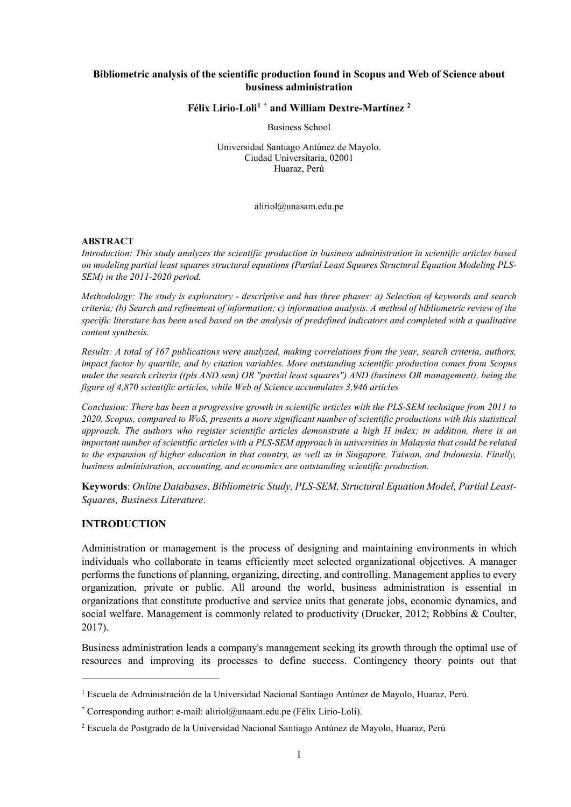#### **Bibliometric analysis of the scientific production found in Scopus and Web of Science about business administration**

#### **Félix Lirio-Loli[1](#page-0-0) [\\*](#page-0-1) and William Dextre-Martínez [2](#page-0-2)**

Business School

Universidad Santiago Antúnez de Mayolo. Ciudad Universitaria, 02001 Huaraz, Perú

aliriol@unasam.edu.pe

#### **ABSTRACT**

*Introduction: This study analyzes the scientific production in business administration in scientific articles based on modeling partial least squares structural equations (Partial Least Squares Structural Equation Modeling PLS-SEM) in the 2011-2020 period.*

*Methodology: The study is exploratory - descriptive and has three phases: a) Selection of keywords and search criteria; (b) Search and refinement of information; c) information analysis. A method of bibliometric review of the specific literature has been used based on the analysis of predefined indicators and completed with a qualitative content synthesis.* 

*Results: A total of 167 publications were analyzed, making correlations from the year, search criteria, authors, impact factor by quartile, and by citation variables. More outstanding scientific production comes from Scopus under the search criteria ((pls AND sem) OR "partial least squares") AND (business OR management), being the figure of 4,870 scientific articles, while Web of Science accumulates 3,946 articles*

*Conclusion: There has been a progressive growth in scientific articles with the PLS-SEM technique from 2011 to 2020. Scopus, compared to WoS, presents a more significant number of scientific productions with this statistical approach. The authors who register scientific articles demonstrate a high H index; in addition, there is an important number of scientific articles with a PLS-SEM approach in universities in Malaysia that could be related to the expansion of higher education in that country, as well as in Singapore, Taiwan, and Indonesia. Finally, business administration, accounting, and economics are outstanding scientific production.*

**Keywords**: *Online Databases, Bibliometric Study, PLS-SEM, Structural Equation Model, Partial Least-Squares, Business Literature*.

#### **INTRODUCTION**

Administration or management is the process of designing and maintaining environments in which individuals who collaborate in teams efficiently meet selected organizational objectives. A manager performs the functions of planning, organizing, directing, and controlling. Management applies to every organization, private or public. All around the world, business administration is essential in organizations that constitute productive and service units that generate jobs, economic dynamics, and social welfare. Management is commonly related to productivity (Drucker, 2012; Robbins & Coulter, 2017).

Business administration leads a company's management seeking its growth through the optimal use of resources and improving its processes to define success. Contingency theory points out that

<span id="page-0-0"></span> $<sup>1</sup>$  Escuela de Administración de la Universidad Nacional Santiago Antúnez de Mayolo, Huaraz, Perú.</sup>

<span id="page-0-1"></span><sup>\*</sup> Corresponding author: e-mail: aliriol@unaam.edu.pe (Félix Lirio-Loli).

<span id="page-0-2"></span><sup>2</sup> Escuela de Postgrado de la Universidad Nacional Santiago Antúnez de Mayolo, Huaraz, Perú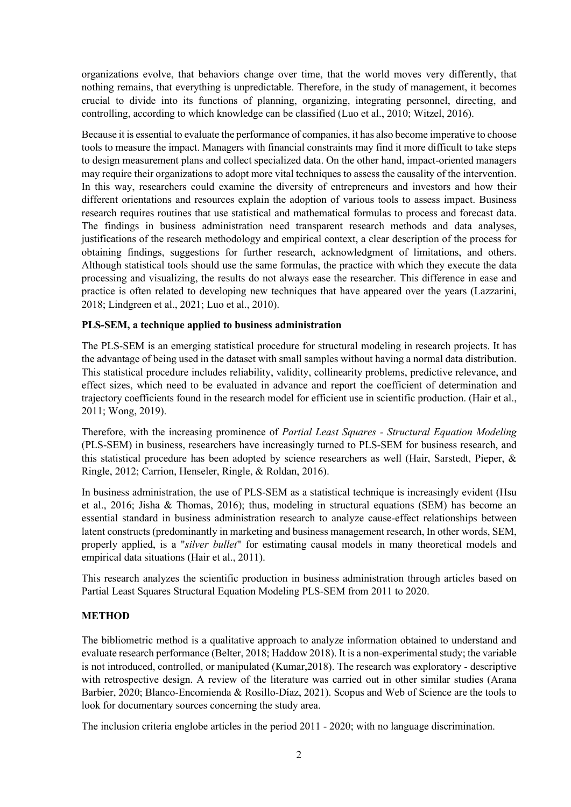organizations evolve, that behaviors change over time, that the world moves very differently, that nothing remains, that everything is unpredictable. Therefore, in the study of management, it becomes crucial to divide into its functions of planning, organizing, integrating personnel, directing, and controlling, according to which knowledge can be classified (Luo et al., 2010; Witzel, 2016).

Because it is essential to evaluate the performance of companies, it has also become imperative to choose tools to measure the impact. Managers with financial constraints may find it more difficult to take steps to design measurement plans and collect specialized data. On the other hand, impact-oriented managers may require their organizations to adopt more vital techniques to assess the causality of the intervention. In this way, researchers could examine the diversity of entrepreneurs and investors and how their different orientations and resources explain the adoption of various tools to assess impact. Business research requires routines that use statistical and mathematical formulas to process and forecast data. The findings in business administration need transparent research methods and data analyses, justifications of the research methodology and empirical context, a clear description of the process for obtaining findings, suggestions for further research, acknowledgment of limitations, and others. Although statistical tools should use the same formulas, the practice with which they execute the data processing and visualizing, the results do not always ease the researcher. This difference in ease and practice is often related to developing new techniques that have appeared over the years (Lazzarini, 2018; Lindgreen et al., 2021; Luo et al., 2010).

## **PLS-SEM, a technique applied to business administration**

The PLS-SEM is an emerging statistical procedure for structural modeling in research projects. It has the advantage of being used in the dataset with small samples without having a normal data distribution. This statistical procedure includes reliability, validity, collinearity problems, predictive relevance, and effect sizes, which need to be evaluated in advance and report the coefficient of determination and trajectory coefficients found in the research model for efficient use in scientific production. (Hair et al., 2011; Wong, 2019).

Therefore, with the increasing prominence of *Partial Least Squares - Structural Equation Modeling*  (PLS-SEM) in business, researchers have increasingly turned to PLS-SEM for business research, and this statistical procedure has been adopted by science researchers as well (Hair, Sarstedt, Pieper, & Ringle, 2012; Carrion, Henseler, Ringle, & Roldan, 2016).

In business administration, the use of PLS-SEM as a statistical technique is increasingly evident (Hsu et al., 2016; Jisha & Thomas, 2016); thus, modeling in structural equations (SEM) has become an essential standard in business administration research to analyze cause-effect relationships between latent constructs (predominantly in marketing and business management research, In other words, SEM, properly applied, is a "*silver bullet*" for estimating causal models in many theoretical models and empirical data situations (Hair et al., 2011).

This research analyzes the scientific production in business administration through articles based on Partial Least Squares Structural Equation Modeling PLS-SEM from 2011 to 2020.

## **METHOD**

The bibliometric method is a qualitative approach to analyze information obtained to understand and evaluate research performance (Belter, 2018; Haddow 2018). It is a non-experimental study; the variable is not introduced, controlled, or manipulated (Kumar,2018). The research was exploratory - descriptive with retrospective design. A review of the literature was carried out in other similar studies (Arana Barbier, 2020; Blanco-Encomienda & Rosillo-Díaz, 2021). Scopus and Web of Science are the tools to look for documentary sources concerning the study area.

The inclusion criteria englobe articles in the period 2011 - 2020; with no language discrimination.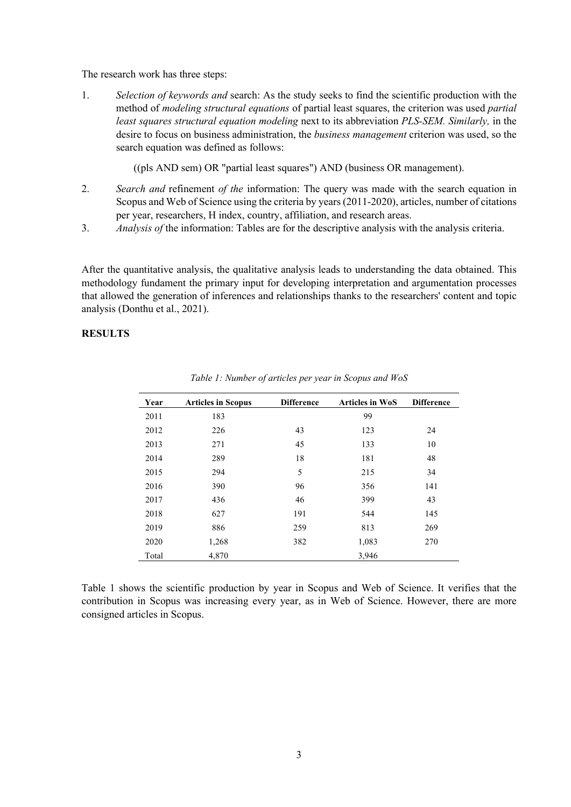The research work has three steps:

1. *Selection of keywords and* search: As the study seeks to find the scientific production with the method of *modeling structural equations* of partial least squares, the criterion was used *partial least squares structural equation modeling* next to its abbreviation *PLS-SEM. Similarly,* in the desire to focus on business administration, the *business management* criterion was used, so the search equation was defined as follows:

((pls AND sem) OR "partial least squares") AND (business OR management).

- 2. *Search and* refinement *of the* information: The query was made with the search equation in Scopus and Web of Science using the criteria by years (2011-2020), articles, number of citations per year, researchers, H index, country, affiliation, and research areas.
- 3. *Analysis of* the information: Tables are for the descriptive analysis with the analysis criteria.

After the quantitative analysis, the qualitative analysis leads to understanding the data obtained. This methodology fundament the primary input for developing interpretation and argumentation processes that allowed the generation of inferences and relationships thanks to the researchers' content and topic analysis (Donthu et al., 2021).

## **RESULTS**

| Year  | <b>Articles in Scopus</b> | <b>Difference</b> | <b>Articles in WoS</b> | <b>Difference</b> |
|-------|---------------------------|-------------------|------------------------|-------------------|
| 2011  | 183                       |                   | 99                     |                   |
| 2012  | 226                       | 43                | 123                    | 24                |
| 2013  | 271                       | 45                | 133                    | 10                |
| 2014  | 289                       | 18                | 181                    | 48                |
| 2015  | 294                       | 5                 | 215                    | 34                |
| 2016  | 390                       | 96                | 356                    | 141               |
| 2017  | 436                       | 46                | 399                    | 43                |
| 2018  | 627                       | 191               | 544                    | 145               |
| 2019  | 886                       | 259               | 813                    | 269               |
| 2020  | 1,268                     | 382               | 1,083                  | 270               |
| Total | 4,870                     |                   | 3,946                  |                   |

*Table 1: Number of articles per year in Scopus and WoS*

Table 1 shows the scientific production by year in Scopus and Web of Science. It verifies that the contribution in Scopus was increasing every year, as in Web of Science. However, there are more consigned articles in Scopus.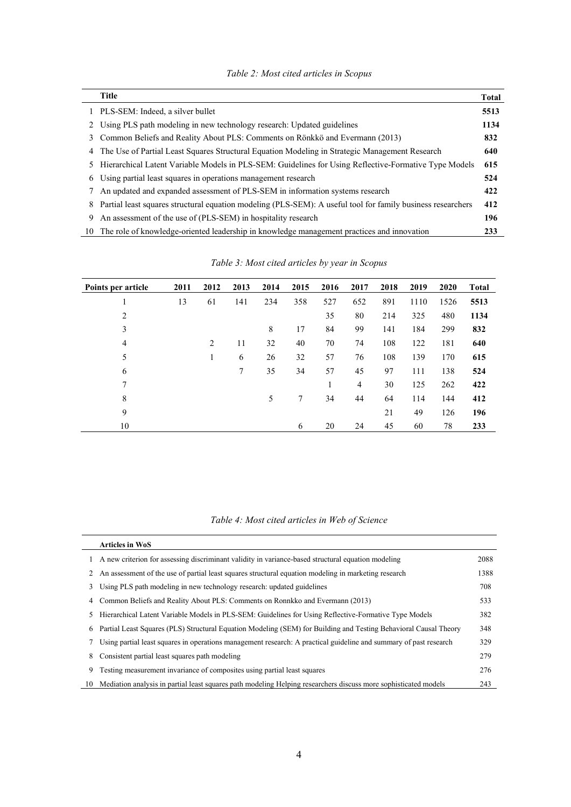| Table 2: Most cited articles in Scopus |  |  |  |  |  |
|----------------------------------------|--|--|--|--|--|
|----------------------------------------|--|--|--|--|--|

|    | <b>Title</b>                                                                                                | <b>Total</b> |
|----|-------------------------------------------------------------------------------------------------------------|--------------|
|    | 1 PLS-SEM: Indeed, a silver bullet                                                                          | 5513         |
|    | 2 Using PLS path modeling in new technology research: Updated guidelines                                    | 1134         |
| 3  | Common Beliefs and Reality About PLS: Comments on Rönkkö and Evermann (2013)                                | 832          |
| 4  | The Use of Partial Least Squares Structural Equation Modeling in Strategic Management Research              | 640          |
| 5. | Hierarchical Latent Variable Models in PLS-SEM: Guidelines for Using Reflective-Formative Type Models       | 615          |
| 6  | Using partial least squares in operations management research                                               | 524          |
|    | An updated and expanded assessment of PLS-SEM in information systems research                               | 422          |
| 8  | Partial least squares structural equation modeling (PLS-SEM): A useful tool for family business researchers | 412          |
| 9  | An assessment of the use of (PLS-SEM) in hospitality research                                               | 196          |
| 10 | The role of knowledge-oriented leadership in knowledge management practices and innovation                  | 233          |

| Points per article | 2011 | 2012 | 2013            | 2014 | 2015 | 2016 | 2017 | 2018 | 2019 | 2020 | Total |
|--------------------|------|------|-----------------|------|------|------|------|------|------|------|-------|
|                    | 13   | 61   | 141             | 234  | 358  | 527  | 652  | 891  | 1110 | 1526 | 5513  |
| 2                  |      |      |                 |      |      | 35   | 80   | 214  | 325  | 480  | 1134  |
| 3                  |      |      |                 | 8    | 17   | 84   | 99   | 141  | 184  | 299  | 832   |
| $\overline{4}$     |      | 2    | 11              | 32   | 40   | 70   | 74   | 108  | 122  | 181  | 640   |
| 5                  |      |      | 6               | 26   | 32   | 57   | 76   | 108  | 139  | 170  | 615   |
| 6                  |      |      | $7\phantom{.0}$ | 35   | 34   | 57   | 45   | 97   | 111  | 138  | 524   |
| 7                  |      |      |                 |      |      |      | 4    | 30   | 125  | 262  | 422   |
| 8                  |      |      |                 | 5    | 7    | 34   | 44   | 64   | 114  | 144  | 412   |
| 9                  |      |      |                 |      |      |      |      | 21   | 49   | 126  | 196   |
| 10                 |      |      |                 |      | 6    | 20   | 24   | 45   | 60   | 78   | 233   |

*Table 3: Most cited articles by year in Scopus*

# *Table 4: Most cited articles in Web of Science*

|    | <b>Articles in WoS</b>                                                                                             |      |
|----|--------------------------------------------------------------------------------------------------------------------|------|
|    | A new criterion for assessing discriminant validity in variance-based structural equation modeling                 | 2088 |
| 2  | An assessment of the use of partial least squares structural equation modeling in marketing research               | 1388 |
| 3  | Using PLS path modeling in new technology research: updated guidelines                                             | 708  |
| 4  | Common Beliefs and Reality About PLS: Comments on Ronnkko and Evermann (2013)                                      | 533  |
| 5. | Hierarchical Latent Variable Models in PLS-SEM: Guidelines for Using Reflective-Formative Type Models              | 382  |
| 6  | Partial Least Squares (PLS) Structural Equation Modeling (SEM) for Building and Testing Behavioral Causal Theory   | 348  |
|    | Using partial least squares in operations management research: A practical guideline and summary of past research  | 329  |
| 8. | Consistent partial least squares path modeling                                                                     | 279  |
| 9  | Testing measurement invariance of composites using partial least squares                                           | 276  |
|    | 10 Mediation analysis in partial least squares path modeling Helping researchers discuss more sophisticated models | 243  |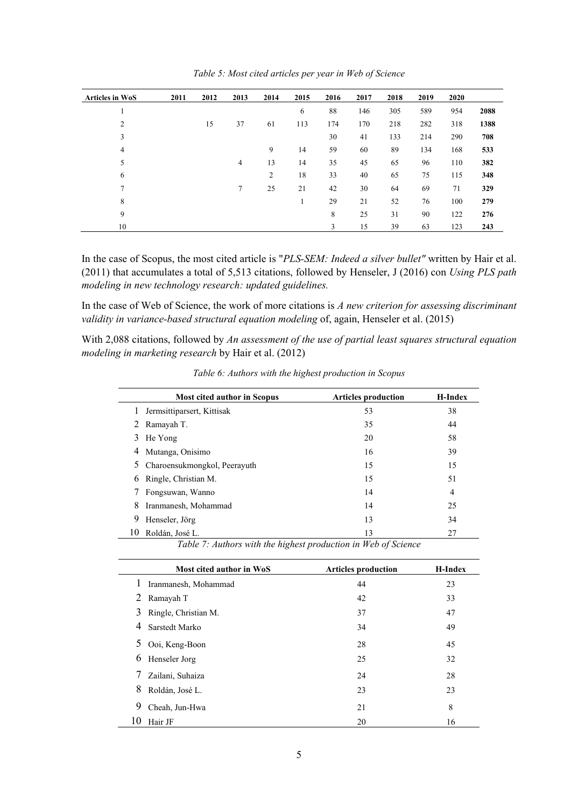| <b>Articles in WoS</b> | 2011 | 2012 | 2013   | 2014           | 2015 | 2016 | 2017 | 2018 | 2019 | 2020 |      |
|------------------------|------|------|--------|----------------|------|------|------|------|------|------|------|
|                        |      |      |        |                | 6    | 88   | 146  | 305  | 589  | 954  | 2088 |
| $\overline{2}$         |      | 15   | 37     | 61             | 113  | 174  | 170  | 218  | 282  | 318  | 1388 |
| 3                      |      |      |        |                |      | 30   | 41   | 133  | 214  | 290  | 708  |
| 4                      |      |      |        | 9              | 14   | 59   | 60   | 89   | 134  | 168  | 533  |
| 5                      |      |      | 4      | 13             | 14   | 35   | 45   | 65   | 96   | 110  | 382  |
| 6                      |      |      |        | $\overline{2}$ | 18   | 33   | 40   | 65   | 75   | 115  | 348  |
| $\mathbf{r}$           |      |      | $\tau$ | 25             | 21   | 42   | 30   | 64   | 69   | 71   | 329  |
| 8                      |      |      |        |                |      | 29   | 21   | 52   | 76   | 100  | 279  |
| 9                      |      |      |        |                |      | 8    | 25   | 31   | 90   | 122  | 276  |
| 10                     |      |      |        |                |      | 3    | 15   | 39   | 63   | 123  | 243  |

*Table 5: Most cited articles per year in Web of Science*

In the case of Scopus, the most cited article is "*PLS-SEM: Indeed a silver bullet"* written by Hair et al. (2011) that accumulates a total of 5,513 citations, followed by Henseler, J (2016) con *Using PLS path modeling in new technology research: updated guidelines.*

In the case of Web of Science, the work of more citations is *A new criterion for assessing discriminant validity in variance-based structural equation modeling* of, again, Henseler et al. (2015)

With 2,088 citations, followed by *An assessment of the use of partial least squares structural equation modeling in marketing research* by Hair et al. (2012)

|         | <b>Most cited author in Scopus</b> | <b>Articles production</b> | <b>H-Index</b> |
|---------|------------------------------------|----------------------------|----------------|
| $\perp$ | Jermsittiparsert, Kittisak         | 53                         | 38             |
|         | 2 Ramayah T.                       | 35                         | 44             |
|         | 3 He Yong                          | 20                         | 58             |
| 4       | Mutanga, Onisimo                   | 16                         | 39             |
|         | 5 Charoensukmongkol, Peerayuth     | 15                         | 15             |
| 6       | Ringle, Christian M.               | 15                         | 51             |
|         | Fongsuwan, Wanno                   | 14                         | $\overline{4}$ |
| 8       | Iranmanesh, Mohammad               | 14                         | 25             |
| 9       | Henseler, Jörg                     | 13                         | 34             |
|         | Roldán, José L.                    | 13                         | 27             |

*Table 6: Authors with the highest production in Scopus*

*Table 7: Authors with the highest production in Web of Science*

|         | Most cited author in WoS | <b>Articles production</b> | H-Index |
|---------|--------------------------|----------------------------|---------|
| $\perp$ | Iranmanesh, Mohammad     | 44                         | 23      |
| 2       | Ramayah T                | 42                         | 33      |
| 3       | Ringle, Christian M.     | 37                         | 47      |
| 4       | Sarstedt Marko           | 34                         | 49      |
| 5       | Ooi, Keng-Boon           | 28                         | 45      |
| 6       | Henseler Jorg            | 25                         | 32      |
| 7       | Zailani, Suhaiza         | 24                         | 28      |
| 8       | Roldán, José L.          | 23                         | 23      |
| 9       | Cheah, Jun-Hwa           | 21                         | 8       |
| 10      | Hair JF                  | 20                         | 16      |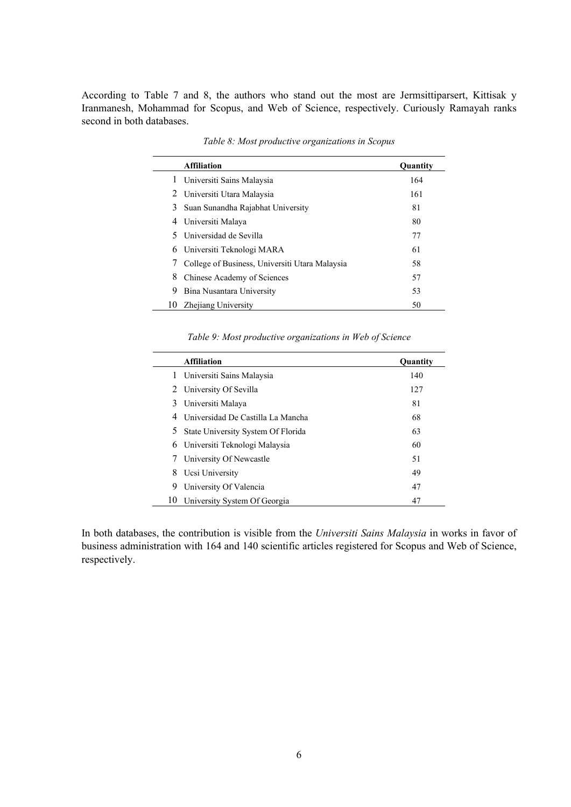According to Table 7 and 8, the authors who stand out the most are Jermsittiparsert, Kittisak y Iranmanesh, Mohammad for Scopus, and Web of Science, respectively. Curiously Ramayah ranks second in both databases.

|   | <b>Affiliation</b>                             | <b>Quantity</b> |
|---|------------------------------------------------|-----------------|
|   | 1 Universiti Sains Malaysia                    | 164             |
|   | 2 Universiti Utara Malaysia                    | 161             |
| 3 | Suan Sunandha Rajabhat University              | 81              |
| 4 | Universiti Malaya                              | 80              |
|   | 5 Universidad de Sevilla                       | 77              |
| 6 | Universiti Teknologi MARA                      | 61              |
|   | College of Business, Universiti Utara Malaysia | 58              |
| 8 | Chinese Academy of Sciences                    | 57              |
| 9 | Bina Nusantara University                      | 53              |
|   | Zhejiang University                            | 50              |

*Table 8: Most productive organizations in Scopus*

#### *Table 9: Most productive organizations in Web of Science*

|    | <b>Affiliation</b>                 | <b>Quantity</b> |
|----|------------------------------------|-----------------|
|    | 1 Universiti Sains Malaysia        | 140             |
|    | 2 University Of Sevilla            | 127             |
| 3  | Universiti Malaya                  | 81              |
| 4  | Universidad De Castilla La Mancha  | 68              |
| 5. | State University System Of Florida | 63              |
| 6  | Universiti Teknologi Malaysia      | 60              |
|    | University Of Newcastle            | 51              |
| 8  | Ucsi University                    | 49              |
| 9  | University Of Valencia             | 47              |
| 10 | University System Of Georgia       | 47              |

In both databases, the contribution is visible from the *Universiti Sains Malaysia* in works in favor of business administration with 164 and 140 scientific articles registered for Scopus and Web of Science, respectively.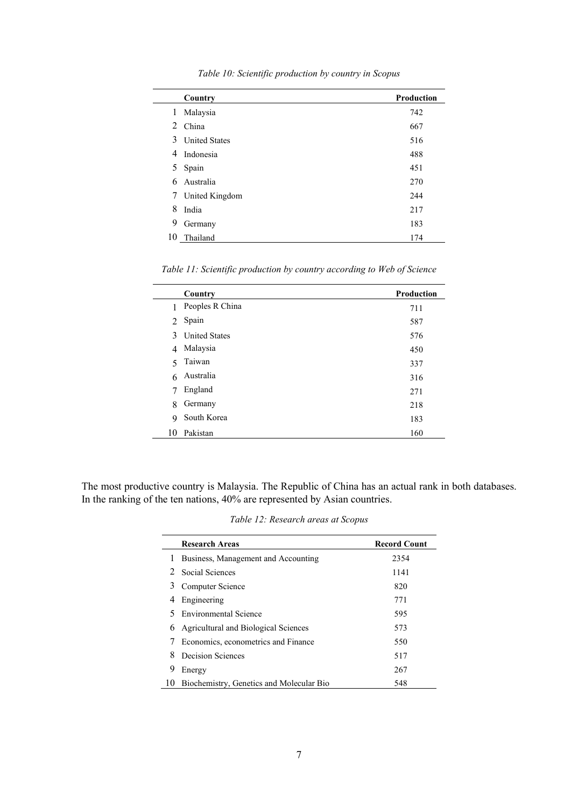|    | Country              | <b>Production</b> |
|----|----------------------|-------------------|
| 1  | Malaysia             | 742               |
|    | 2 China              | 667               |
| 3  | <b>United States</b> | 516               |
| 4  | Indonesia            | 488               |
| 5  | Spain                | 451               |
| 6  | Australia            | 270               |
| 7  | United Kingdom       | 244               |
| 8  | India                | 217               |
| 9  | Germany              | 183               |
| 10 | Thailand             | 174               |

*Table 10: Scientific production by country in Scopus*

*Table 11: Scientific production by country according to Web of Science*

|                | Country              | <b>Production</b> |
|----------------|----------------------|-------------------|
|                | Peoples R China      | 711               |
| $\mathfrak{D}$ | Spain                | 587               |
| 3              | <b>United States</b> | 576               |
| 4              | Malaysia             | 450               |
| $\sim$         | Taiwan               | 337               |
| 6              | Australia            | 316               |
| 7              | England              | 271               |
| 8              | Germany              | 218               |
| 9              | South Korea          | 183               |
| 10             | Pakistan             | 160               |

The most productive country is Malaysia. The Republic of China has an actual rank in both databases. In the ranking of the ten nations, 40% are represented by Asian countries.

*Table 12: Research areas at Scopus*

|    | <b>Research Areas</b>                    | <b>Record Count</b> |
|----|------------------------------------------|---------------------|
|    | Business, Management and Accounting      | 2354                |
|    | 2 Social Sciences                        | 1141                |
|    | Computer Science                         | 820                 |
|    | Engineering                              | 771                 |
|    | <b>Environmental Science</b>             | 595                 |
| 6  | Agricultural and Biological Sciences     | 573                 |
|    | Economics, econometrics and Finance      | 550                 |
|    | Decision Sciences                        | 517                 |
| 9  | Energy                                   | 267                 |
| 10 | Biochemistry, Genetics and Molecular Bio | 548                 |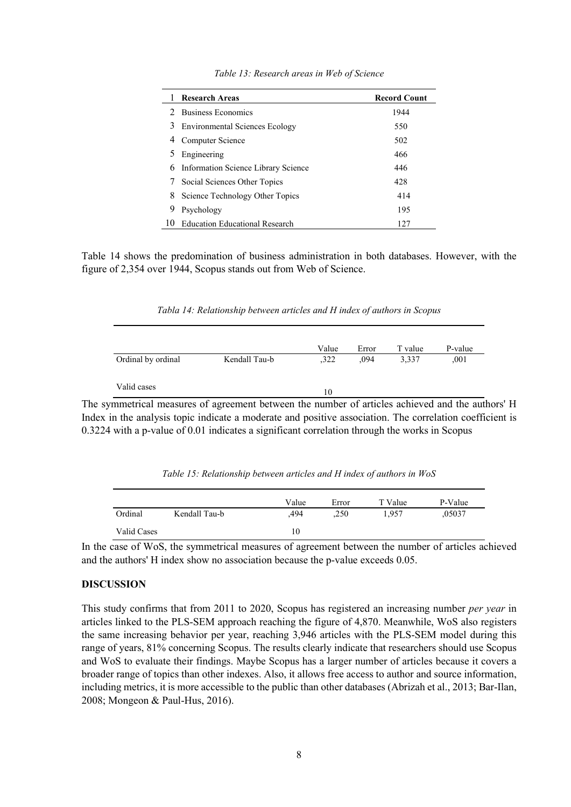|               | <b>Research Areas</b>                 | <b>Record Count</b> |
|---------------|---------------------------------------|---------------------|
| $\mathcal{L}$ | <b>Business Economics</b>             | 1944                |
| 3             | <b>Environmental Sciences Ecology</b> | 550                 |
| 4             | Computer Science                      | 502                 |
| 5             | Engineering                           | 466                 |
| 6             | Information Science Library Science   | 446                 |
|               | Social Sciences Other Topics          | 428                 |
|               | 8 Science Technology Other Topics     | 414                 |
| 9             | Psychology                            | 195                 |
|               | <b>Education Educational Research</b> | 127                 |

*Table 13: Research areas in Web of Science*

Table 14 shows the predomination of business administration in both databases. However, with the figure of 2,354 over 1944, Scopus stands out from Web of Science.

| Tabla 14: Relationship between articles and H index of authors in Scopus |  |  |  |  |  |
|--------------------------------------------------------------------------|--|--|--|--|--|
|--------------------------------------------------------------------------|--|--|--|--|--|

|                    |               | Value | Error | T value | P-value |
|--------------------|---------------|-------|-------|---------|---------|
| Ordinal by ordinal | Kendall Tau-b | ,322  | .094  | 3,337   | ,001    |
|                    |               |       |       |         |         |
| Valid cases        |               | 10    |       |         |         |

The symmetrical measures of agreement between the number of articles achieved and the authors' H Index in the analysis topic indicate a moderate and positive association. The correlation coefficient is 0.3224 with a p-value of 0.01 indicates a significant correlation through the works in Scopus

|             |               | Value | Error | T Value | P-Value |
|-------------|---------------|-------|-------|---------|---------|
| Ordinal     | Kendall Tau-b | .494  | ,250  | 1.957   | ,05037  |
| Valid Cases |               | 10    |       |         |         |

*Table 15: Relationship between articles and H index of authors in WoS*

In the case of WoS, the symmetrical measures of agreement between the number of articles achieved and the authors' H index show no association because the p-value exceeds 0.05.

## **DISCUSSION**

This study confirms that from 2011 to 2020, Scopus has registered an increasing number *per year* in articles linked to the PLS-SEM approach reaching the figure of 4,870. Meanwhile, WoS also registers the same increasing behavior per year, reaching 3,946 articles with the PLS-SEM model during this range of years, 81% concerning Scopus. The results clearly indicate that researchers should use Scopus and WoS to evaluate their findings. Maybe Scopus has a larger number of articles because it covers a broader range of topics than other indexes. Also, it allows free access to author and source information, including metrics, it is more accessible to the public than other databases (Abrizah et al., 2013; Bar-Ilan, 2008; Mongeon & Paul-Hus, 2016).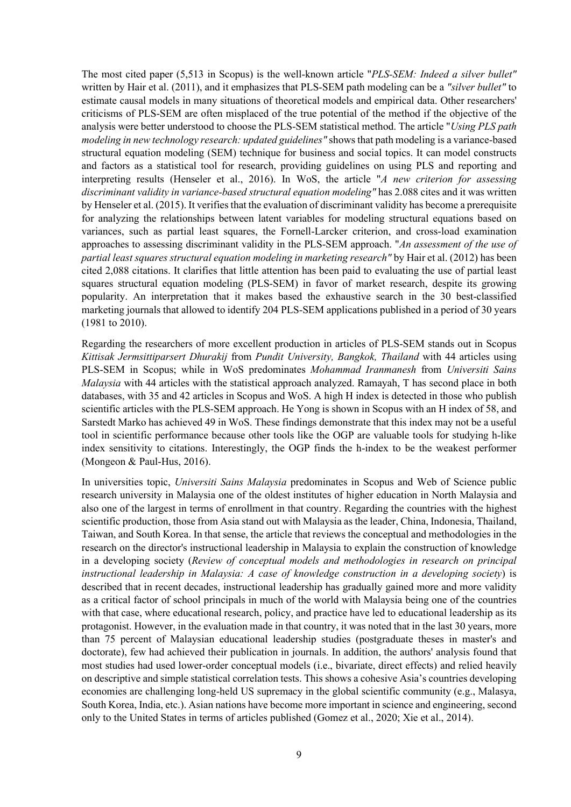The most cited paper (5,513 in Scopus) is the well-known article "*PLS-SEM: Indeed a silver bullet"* written by Hair et al. (2011), and it emphasizes that PLS-SEM path modeling can be a *"silver bullet"* to estimate causal models in many situations of theoretical models and empirical data. Other researchers' criticisms of PLS-SEM are often misplaced of the true potential of the method if the objective of the analysis were better understood to choose the PLS-SEM statistical method. The article "*Using PLS path modeling in new technology research: updated guidelines"* shows that path modeling is a variance-based structural equation modeling (SEM) technique for business and social topics. It can model constructs and factors as a statistical tool for research, providing guidelines on using PLS and reporting and interpreting results (Henseler et al., 2016). In WoS, the article "*A new criterion for assessing discriminant validity in variance-based structural equation modeling"* has 2.088 cites and it was written by Henseler et al. (2015). It verifies that the evaluation of discriminant validity has become a prerequisite for analyzing the relationships between latent variables for modeling structural equations based on variances, such as partial least squares, the Fornell-Larcker criterion, and cross-load examination approaches to assessing discriminant validity in the PLS-SEM approach. "*An assessment of the use of partial least squares structural equation modeling in marketing research"* by Hair et al. (2012) has been cited 2,088 citations. It clarifies that little attention has been paid to evaluating the use of partial least squares structural equation modeling (PLS-SEM) in favor of market research, despite its growing popularity. An interpretation that it makes based the exhaustive search in the 30 best-classified marketing journals that allowed to identify 204 PLS-SEM applications published in a period of 30 years (1981 to 2010).

Regarding the researchers of more excellent production in articles of PLS-SEM stands out in Scopus *Kittisak Jermsittiparsert Dhurakij* from *Pundit University, Bangkok, Thailand* with 44 articles using PLS-SEM in Scopus; while in WoS predominates *Mohammad Iranmanesh* from *Universiti Sains Malaysia* with 44 articles with the statistical approach analyzed. Ramayah, T has second place in both databases, with 35 and 42 articles in Scopus and WoS. A high H index is detected in those who publish scientific articles with the PLS-SEM approach. He Yong is shown in Scopus with an H index of 58, and Sarstedt Marko has achieved 49 in WoS. These findings demonstrate that this index may not be a useful tool in scientific performance because other tools like the OGP are valuable tools for studying h-like index sensitivity to citations. Interestingly, the OGP finds the h-index to be the weakest performer (Mongeon & Paul-Hus, 2016).

In universities topic, *Universiti Sains Malaysia* predominates in Scopus and Web of Science public research university in Malaysia one of the oldest institutes of higher education in North Malaysia and also one of the largest in terms of enrollment in that country. Regarding the countries with the highest scientific production, those from Asia stand out with Malaysia as the leader, China, Indonesia, Thailand, Taiwan, and South Korea. In that sense, the article that reviews the conceptual and methodologies in the research on the director's instructional leadership in Malaysia to explain the construction of knowledge in a developing society (*Review of conceptual models and methodologies in research on principal instructional leadership in Malaysia: A case of knowledge construction in a developing society*) is described that in recent decades, instructional leadership has gradually gained more and more validity as a critical factor of school principals in much of the world with Malaysia being one of the countries with that case, where educational research, policy, and practice have led to educational leadership as its protagonist. However, in the evaluation made in that country, it was noted that in the last 30 years, more than 75 percent of Malaysian educational leadership studies (postgraduate theses in master's and doctorate), few had achieved their publication in journals. In addition, the authors' analysis found that most studies had used lower-order conceptual models (i.e., bivariate, direct effects) and relied heavily on descriptive and simple statistical correlation tests. This shows a cohesive Asia's countries developing economies are challenging long-held US supremacy in the global scientific community (e.g., Malasya, South Korea, India, etc.). Asian nations have become more important in science and engineering, second only to the United States in terms of articles published (Gomez et al., 2020; Xie et al., 2014).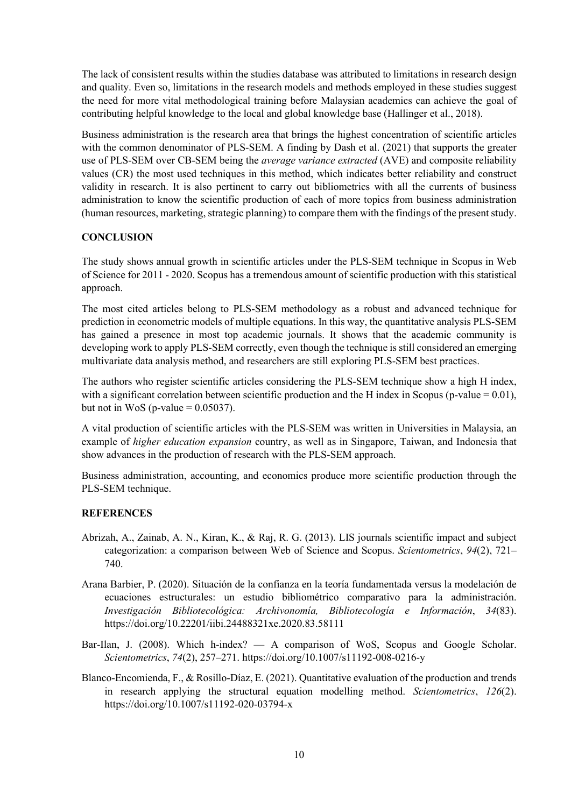The lack of consistent results within the studies database was attributed to limitations in research design and quality. Even so, limitations in the research models and methods employed in these studies suggest the need for more vital methodological training before Malaysian academics can achieve the goal of contributing helpful knowledge to the local and global knowledge base (Hallinger et al., 2018).

Business administration is the research area that brings the highest concentration of scientific articles with the common denominator of PLS-SEM. A finding by Dash et al. (2021) that supports the greater use of PLS-SEM over CB-SEM being the *average variance extracted* (AVE) and composite reliability values (CR) the most used techniques in this method, which indicates better reliability and construct validity in research. It is also pertinent to carry out bibliometrics with all the currents of business administration to know the scientific production of each of more topics from business administration (human resources, marketing, strategic planning) to compare them with the findings of the present study.

## **CONCLUSION**

The study shows annual growth in scientific articles under the PLS-SEM technique in Scopus in Web of Science for 2011 - 2020. Scopus has a tremendous amount of scientific production with this statistical approach.

The most cited articles belong to PLS-SEM methodology as a robust and advanced technique for prediction in econometric models of multiple equations. In this way, the quantitative analysis PLS-SEM has gained a presence in most top academic journals. It shows that the academic community is developing work to apply PLS-SEM correctly, even though the technique is still considered an emerging multivariate data analysis method, and researchers are still exploring PLS-SEM best practices.

The authors who register scientific articles considering the PLS-SEM technique show a high H index, with a significant correlation between scientific production and the H index in Scopus (p-value  $= 0.01$ ), but not in WoS (p-value  $= 0.05037$ ).

A vital production of scientific articles with the PLS-SEM was written in Universities in Malaysia, an example of *higher education expansion* country, as well as in Singapore, Taiwan, and Indonesia that show advances in the production of research with the PLS-SEM approach.

Business administration, accounting, and economics produce more scientific production through the PLS-SEM technique.

# **REFERENCES**

- Abrizah, A., Zainab, A. N., Kiran, K., & Raj, R. G. (2013). LIS journals scientific impact and subject categorization: a comparison between Web of Science and Scopus. *Scientometrics*, *94*(2), 721– 740.
- Arana Barbier, P. (2020). Situación de la confianza en la teoría fundamentada versus la modelación de ecuaciones estructurales: un estudio bibliométrico comparativo para la administración. *Investigación Bibliotecológica: Archivonomía, Bibliotecología e Información*, *34*(83). https://doi.org/10.22201/iibi.24488321xe.2020.83.58111
- Bar-Ilan, J. (2008). Which h-index? A comparison of WoS, Scopus and Google Scholar. *Scientometrics*, *74*(2), 257–271. https://doi.org/10.1007/s11192-008-0216-y
- Blanco-Encomienda, F., & Rosillo-Díaz, E. (2021). Quantitative evaluation of the production and trends in research applying the structural equation modelling method. *Scientometrics*, *126*(2). https://doi.org/10.1007/s11192-020-03794-x